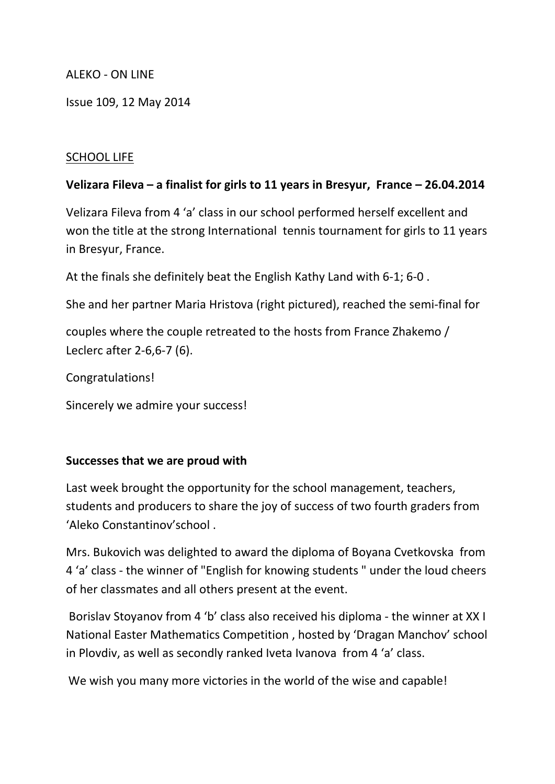### ALEKO - ON LINE

Issue 109, 12 May 2014

### SCHOOL LIFE

### **Velizara Fileva – a finalist for girls to 11 years in Bresyur, France – 26.04.2014**

Velizara Fileva from 4 'a' class in our school performed herself excellent and won the title at the strong International tennis tournament for girls to 11 years in Bresyur, France.

At the finals she definitely beat the English Kathy Land with 6-1; 6-0 .

She and her partner Maria Hristova (right pictured), reached the semi-final for

couples where the couple retreated to the hosts from France Zhakemo / Leclerc after 2-6,6-7 (6).

Congratulations!

Sincerely we admire your success!

### **Successes that we are proud with**

Last week brought the opportunity for the school management, teachers, students and producers to share the joy of success of two fourth graders from 'Aleko Constantinov'school .

Mrs. Bukovich was delighted to award the diploma of Boyana Cvetkovska from 4 'a' class - the winner of "English for knowing students " under the loud cheers of her classmates and all others present at the event.

Borislav Stoyanov from 4 'b' class also received his diploma - the winner at XX I National Easter Mathematics Competition , hosted by 'Dragan Manchov' school in Plovdiv, as well as secondly ranked Iveta Ivanova from 4 'a' class.

We wish you many more victories in the world of the wise and capable!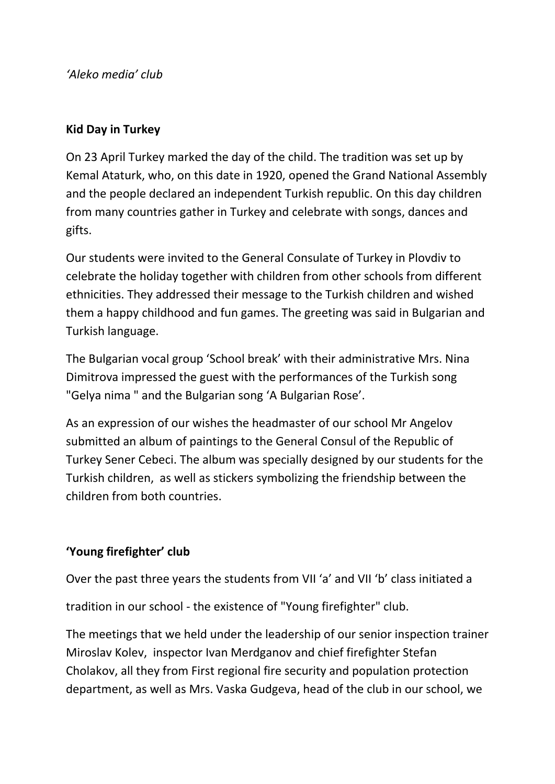*'Aleko media' club* 

# **Kid Day in Turkey**

On 23 April Turkey marked the day of the child. The tradition was set up by Kemal Ataturk, who, on this date in 1920, opened the Grand National Assembly and the people declared an independent Turkish republic. On this day children from many countries gather in Turkey and celebrate with songs, dances and gifts.

Our students were invited to the General Consulate of Turkey in Plovdiv to celebrate the holiday together with children from other schools from different ethnicities. They addressed their message to the Turkish children and wished them a happy childhood and fun games. The greeting was said in Bulgarian and Turkish language.

The Bulgarian vocal group 'School break' with their administrative Mrs. Nina Dimitrova impressed the guest with the performances of the Turkish song "Gelya nima " and the Bulgarian song 'A Bulgarian Rose'.

As an expression of our wishes the headmaster of our school Mr Angelov submitted an album of paintings to the General Consul of the Republic of Turkey Sener Cebeci. The album was specially designed by our students for the Turkish children, as well as stickers symbolizing the friendship between the children from both countries.

# **'Young firefighter' club**

Over the past three years the students from VII 'a' and VII 'b' class initiated a

tradition in our school - the existence of "Young firefighter" club.

The meetings that we held under the leadership of our senior inspection trainer Miroslav Kolev, inspector Ivan Merdganov and chief firefighter Stefan Cholakov, all they from First regional fire security and population protection department, as well as Mrs. Vaska Gudgeva, head of the club in our school, we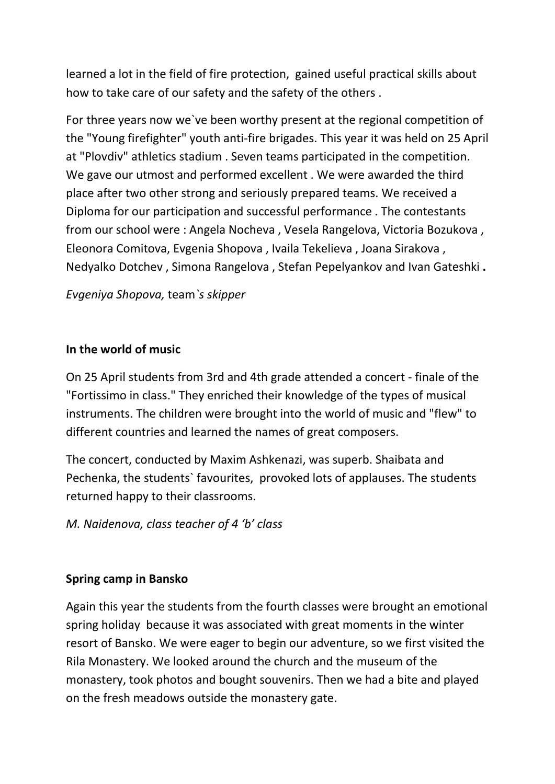learned a lot in the field of fire protection, gained useful practical skills about how to take care of our safety and the safety of the others .

For three years now we`ve been worthy present at the regional competition of the "Young firefighter" youth anti-fire brigades. This year it was held on 25 April at "Plovdiv" athletics stadium . Seven teams participated in the competition. We gave our utmost and performed excellent . We were awarded the third place after two other strong and seriously prepared teams. We received a Diploma for our participation and successful performance . The contestants from our school were : Angela Nocheva , Vesela Rangelova, Victoria Bozukova , Eleonora Comitova, Evgenia Shopova , Ivaila Tekelieva , Joana Sirakova , Nedyalko Dotchev , Simona Rangelova , Stefan Pepelyankov and Ivan Gateshki **.**

*Evgeniya Shopova,* team*`s skipper*

### **In the world of music**

On 25 April students from 3rd and 4th grade attended a concert - finale of the "Fortissimo in class." They enriched their knowledge of the types of musical instruments. The children were brought into the world of music and "flew" to different countries and learned the names of great composers.

The concert, conducted by Maxim Ashkenazi, was superb. Shaibata and Pechenka, the students` favourites, provoked lots of applauses. The students returned happy to their classrooms.

*M. Naidenova, class teacher of 4 'b' class*

### **Spring camp in Bansko**

Again this year the students from the fourth classes were brought an emotional spring holiday because it was associated with great moments in the winter resort of Bansko. We were eager to begin our adventure, so we first visited the Rila Monastery. We looked around the church and the museum of the monastery, took photos and bought souvenirs. Then we had a bite and played on the fresh meadows outside the monastery gate.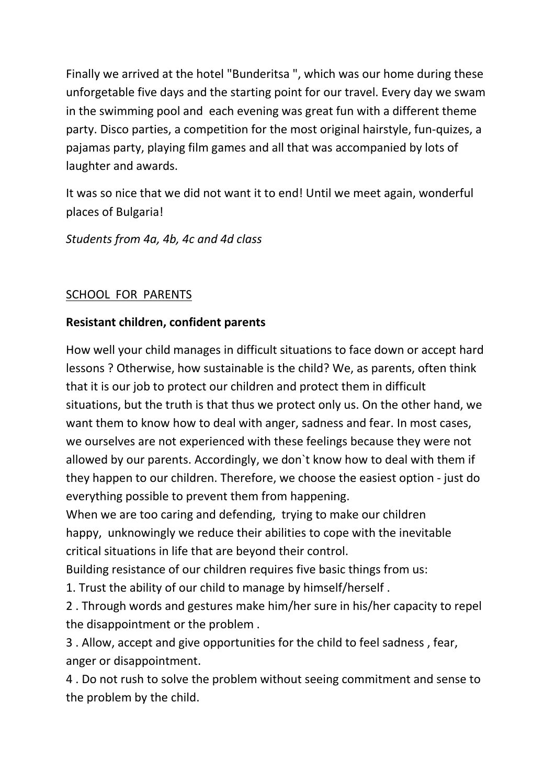Finally we arrived at the hotel "Bunderitsa ", which was our home during these unforgetable five days and the starting point for our travel. Every day we swam in the swimming pool and each evening was great fun with a different theme party. Disco parties, a competition for the most original hairstyle, fun-quizes, a pajamas party, playing film games and all that was accompanied by lots of laughter and awards.

It was so nice that we did not want it to end! Until we meet again, wonderful places of Bulgaria!

*Students from 4a, 4b, 4c and 4d class*

### SCHOOL FOR PARENTS

### **Resistant children, confident parents**

How well your child manages in difficult situations to face down or accept hard lessons ? Otherwise, how sustainable is the child? We, as parents, often think that it is our job to protect our children and protect them in difficult situations, but the truth is that thus we protect only us. On the other hand, we want them to know how to deal with anger, sadness and fear. In most cases, we ourselves are not experienced with these feelings because they were not allowed by our parents. Accordingly, we don`t know how to deal with them if they happen to our children. Therefore, we choose the easiest option - just do everything possible to prevent them from happening.

When we are too caring and defending, trying to make our children happy, unknowingly we reduce their abilities to cope with the inevitable critical situations in life that are beyond their control.

Building resistance of our children requires five basic things from us:

1. Trust the ability of our child to manage by himself/herself .

2 . Through words and gestures make him/her sure in his/her capacity to repel the disappointment or the problem .

3 . Allow, accept and give opportunities for the child to feel sadness , fear, anger or disappointment.

4 . Do not rush to solve the problem without seeing commitment and sense to the problem by the child.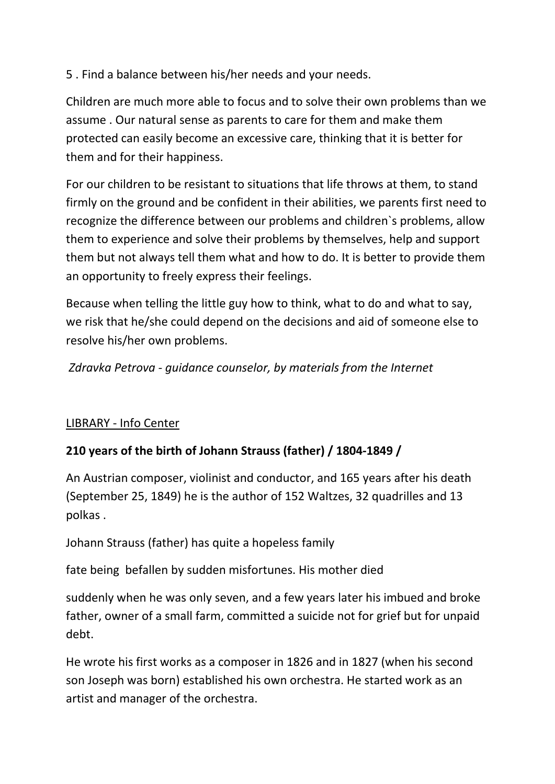5 . Find a balance between his/her needs and your needs.

Children are much more able to focus and to solve their own problems than we assume . Our natural sense as parents to care for them and make them protected can easily become an excessive care, thinking that it is better for them and for their happiness.

For our children to be resistant to situations that life throws at them, to stand firmly on the ground and be confident in their abilities, we parents first need to recognize the difference between our problems and children`s problems, allow them to experience and solve their problems by themselves, help and support them but not always tell them what and how to do. It is better to provide them an opportunity to freely express their feelings.

Because when telling the little guy how to think, what to do and what to say, we risk that he/she could depend on the decisions and aid of someone else to resolve his/her own problems.

*Zdravka Petrova - guidance counselor, by materials from the Internet*

# LIBRARY - Info Center

# **210 years of the birth of Johann Strauss (father) / 1804-1849 /**

An Austrian composer, violinist and conductor, and 165 years after his death (September 25, 1849) he is the author of 152 Waltzes, 32 quadrilles and 13 polkas .

Johann Strauss (father) has quite a hopeless family

fate being befallen by sudden misfortunes. His mother died

suddenly when he was only seven, and a few years later his imbued and broke father, owner of a small farm, committed a suicide not for grief but for unpaid debt.

He wrote his first works as a composer in 1826 and in 1827 (when his second son Joseph was born) established his own orchestra. He started work as an artist and manager of the orchestra.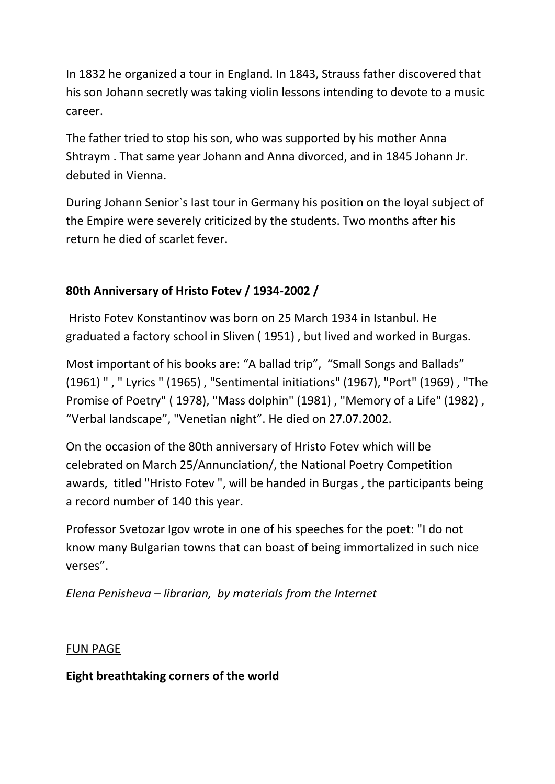In 1832 he organized a tour in England. In 1843, Strauss father discovered that his son Johann secretly was taking violin lessons intending to devote to a music career.

The father tried to stop his son, who was supported by his mother Anna Shtraym . That same year Johann and Anna divorced, and in 1845 Johann Jr. debuted in Vienna.

During Johann Senior`s last tour in Germany his position on the loyal subject of the Empire were severely criticized by the students. Two months after his return he died of scarlet fever.

# **80th Anniversary of Hristo Fotev / 1934-2002 /**

Hristo Fotev Konstantinov was born on 25 March 1934 in Istanbul. He graduated a factory school in Sliven ( 1951) , but lived and worked in Burgas.

Most important of his books are: "A ballad trip", "Small Songs and Ballads" (1961) " , " Lyrics " (1965) , "Sentimental initiations" (1967), "Port" (1969) , "The Promise of Poetry" ( 1978), "Mass dolphin" (1981) , "Memory of a Life" (1982) , "Verbal landscape", "Venetian night". He died on 27.07.2002.

On the occasion of the 80th anniversary of Hristo Fotev which will be celebrated on March 25/Annunciation/, the National Poetry Competition awards, titled "Hristo Fotev ", will be handed in Burgas , the participants being a record number of 140 this year.

Professor Svetozar Igov wrote in one of his speeches for the poet: "I do not know many Bulgarian towns that can boast of being immortalized in such nice verses".

*Elena Penisheva – librarian, by materials from the Internet*

### FUN PAGE

# **Eight breathtaking corners of the world**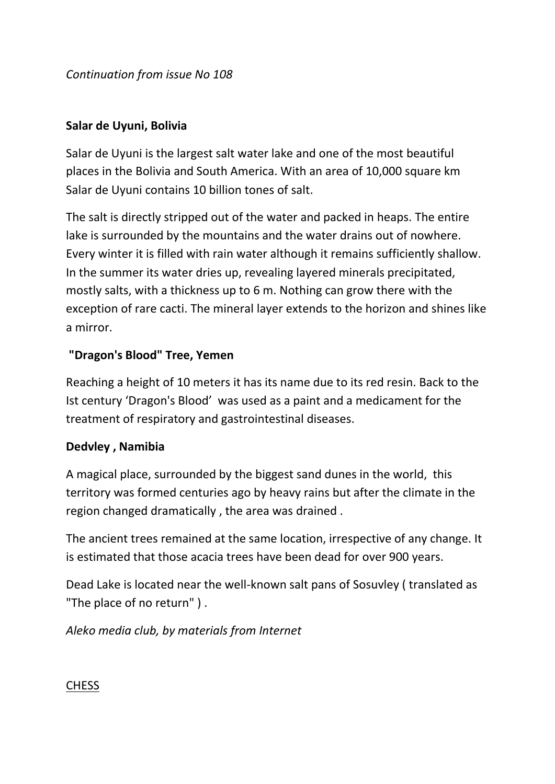*Continuation from issue No 108*

### **Salar de Uyuni, Bolivia**

Salar de Uyuni is the largest salt water lake and one of the most beautiful places in the Bolivia and South America. With an area of 10,000 square km Salar de Uyuni contains 10 billion tones of salt.

The salt is directly stripped out of the water and packed in heaps. The entire lake is surrounded by the mountains and the water drains out of nowhere. Every winter it is filled with rain water although it remains sufficiently shallow. In the summer its water dries up, revealing layered minerals precipitated, mostly salts, with a thickness up to 6 m. Nothing can grow there with the exception of rare cacti. The mineral layer extends to the horizon and shines like a mirror.

# **"Dragon's Blood" Tree, Yemen**

Reaching a height of 10 meters it has its name due to its red resin. Back to the Ist century 'Dragon's Blood' was used as a paint and a medicament for the treatment of respiratory and gastrointestinal diseases.

# **Dedvley , Namibia**

A magical place, surrounded by the biggest sand dunes in the world, this territory was formed centuries ago by heavy rains but after the climate in the region changed dramatically , the area was drained .

The ancient trees remained at the same location, irrespective of any change. It is estimated that those acacia trees have been dead for over 900 years.

Dead Lake is located near the well-known salt pans of Sosuvley ( translated as "The place of no return" ) .

*Aleko media club, by materials from Internet*

# CHESS